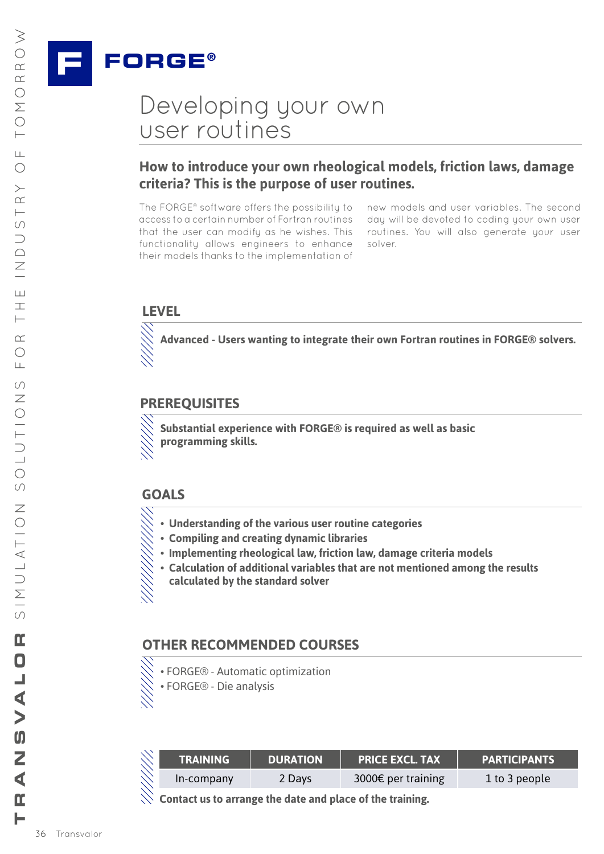

## Developing your own user routines Pantone Reflex Blue • C:100/M:72/Y:0/K:0

### **How to introduce your own rheological models, friction laws, damage criteria? This is the purpose of user routines.** Criteria: This is the pt

The FORGE® software offers the possibility to access to a certain number of Fortran routines that the user can modify as he wishes. This functionality allows engineers to enhance<br>their models thanks to the implementation of their models thanks to the implementation of

new models and user variables. The second day will be devoted to coding your own user routines. You will also generate your user solver.

#### **LEVEL**

Pantone 227 • C:0/M:100/Y:0/K:23.5 **R** Advanced - Users wanting to integrate their own Fortran routines in FORGE® solvers.<br>\\\

#### **PREREQUISITES**

 $\diagdown$  Substantial experience with FORGE® is required as well as basic<br> $\diagdown$  programming skills. **programming skills.**

#### **GOALS**

- $\diagdown\,$  Understanding of the various user routine categories<br> $\diagdown\,$  Compiling and creating dynamic libraries
	- **• Compiling and creating dynamic libraries**

Pantone 383 • C:18.5/M:0/Y:100/K:18.5

- $\diagdown\ddot{\diagdown\,}$  Implementing rheological law, friction law, damage criteria models
- $\bigotimes$  Calculation of additional variables that are not mentioned among the results **calculated by the standard solver**

# **OTHER RECOMMENDED COURSES A ADDITIVE3D**®

 $R$ • FORGE® - Automatic optimization • FORGE® - Die analysis

| <b>TRAINING</b> | <b>DURATION</b> | <b>PRICE EXCL. TAX</b> | <b>PARTICIPANTS</b> |
|-----------------|-----------------|------------------------|---------------------|
| In-company      | 2 Days          | 3000€ per training     | 1 to 3 people       |

**Contact us to arrange the date and place of the training.**

 $\geq$